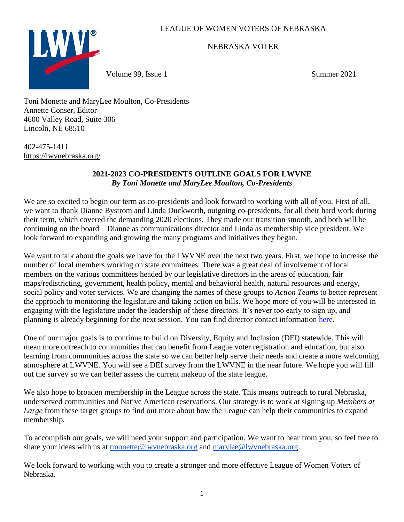# LEAGUE OF WOMEN VOTERS OF NEBRASKA



NEBRASKA VOTER

Volume 99, Issue 1 and 1 Summer 2021

Toni Monette and MaryLee Moulton, Co-Presidents Annette Conser, Editor 4600 Valley Road, Suite 306 Lincoln, NE 68510

402-475-1411 <https://lwvnebraska.org/>

## **2021-2023 CO-PRESIDENTS OUTLINE GOALS FOR LWVNE** *By Toni Monette and MaryLee Moulton, Co-Presidents*

We are so excited to begin our term as co-presidents and look forward to working with all of you. First of all, we want to thank Dianne Bystrom and Linda Duckworth, outgoing co-presidents, for all their hard work during their term, which covered the demanding 2020 elections. They made our transition smooth, and both will be continuing on the board – Dianne as communications director and Linda as membership vice president. We look forward to expanding and growing the many programs and initiatives they began.

We want to talk about the goals we have for the LWVNE over the next two years. First, we hope to increase the number of local members working on state committees. There was a great deal of involvement of local members on the various committees headed by our legislative directors in the areas of education, fair maps/redistricting, government, health policy, mental and behavioral health, natural resources and energy, social policy and voter services. We are changing the names of these groups to *Action Teams* to better represent the approach to monitoring the legislature and taking action on bills. We hope more of you will be interested in engaging with the legislature under the leadership of these directors. It's never too early to sign up, and planning is already beginning for the next session. You can find director contact information [here.](https://lwvnebraska.org/taskforces/)

One of our major goals is to continue to build on Diversity, Equity and Inclusion (DEI) statewide. This will mean more outreach to communities that can benefit from League voter registration and education, but also learning from communities across the state so we can better help serve their needs and create a more welcoming atmosphere at LWVNE. You will see a DEI survey from the LWVNE in the near future. We hope you will fill out the survey so we can better assess the current makeup of the state league.

We also hope to broaden membership in the League across the state. This means outreach to rural Nebraska, underserved communities and Native American reservations. Our strategy is to work at signing up *Members at Large* from these target groups to find out more about how the League can help their communities to expand membership.

To accomplish our goals, we will need your support and participation. We want to hear from you, so feel free to share your ideas with us at tmonette@lwynebraska.org and marylee@lwynebraska.org.

We look forward to working with you to create a stronger and more effective League of Women Voters of Nebraska.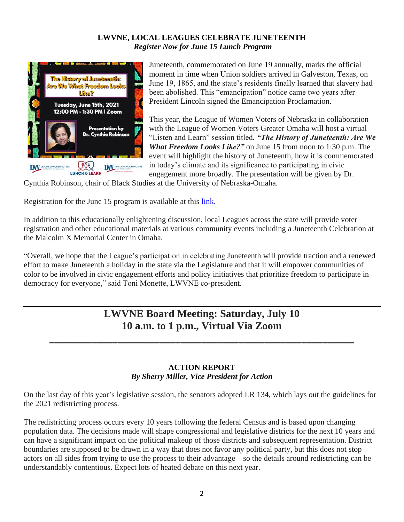# **LWVNE, LOCAL LEAGUES CELEBRATE JUNETEENTH** *Register Now for June 15 Lunch Program*



Juneteenth, commemorated on June 19 annually, marks the official moment in time when Union soldiers arrived in Galveston, Texas, on June 19, 1865, and the state's residents finally learned that slavery had been abolished. This "emancipation" notice came two years after President Lincoln signed the Emancipation Proclamation.

This year, the League of Women Voters of Nebraska in collaboration with the League of Women Voters Greater Omaha will host a virtual "Listen and Learn" session titled, *"The History of Juneteenth: Are We What Freedom Looks Like?"* on June 15 from noon to 1:30 p.m. The event will highlight the history of Juneteenth, how it is commemorated in today's climate and its significance to participating in civic engagement more broadly. The presentation will be given by Dr.

Cynthia Robinson, chair of Black Studies at the University of Nebraska-Omaha.

Registration for the June 15 program is available at this [link.](https://zoom.us/meeting/register/tJYkd-quqzorH9FEtTcFWixPRfoRKZSy0Zy4)

In addition to this educationally enlightening discussion, local Leagues across the state will provide voter registration and other educational materials at various community events including a Juneteenth Celebration at the Malcolm X Memorial Center in Omaha.

"Overall, we hope that the League's participation in celebrating Juneteenth will provide traction and a renewed effort to make Juneteenth a holiday in the state via the Legislature and that it will empower communities of color to be involved in civic engagement efforts and policy initiatives that prioritize freedom to participate in democracy for everyone," said Toni Monette, LWVNE co-president.

# **LWVNE Board Meeting: Saturday, July 10 10 a.m. to 1 p.m., Virtual Via Zoom**

**\_\_\_\_\_\_\_\_\_\_\_\_\_\_\_\_\_\_\_\_\_\_\_\_\_\_\_\_\_\_\_\_\_\_\_\_\_\_\_\_\_\_\_\_\_\_\_\_\_\_\_\_\_\_\_\_\_\_**

#### **ACTION REPORT** *By Sherry Miller, Vice President for Action*

On the last day of this year's legislative session, the senators adopted LR 134, which lays out the guidelines for the 2021 redistricting process.

The redistricting process occurs every 10 years following the federal Census and is based upon changing population data. The decisions made will shape congressional and legislative districts for the next 10 years and can have a significant impact on the political makeup of those districts and subsequent representation. District boundaries are supposed to be drawn in a way that does not favor any political party, but this does not stop actors on all sides from trying to use the process to their advantage – so the details around redistricting can be understandably contentious. Expect lots of heated debate on this next year.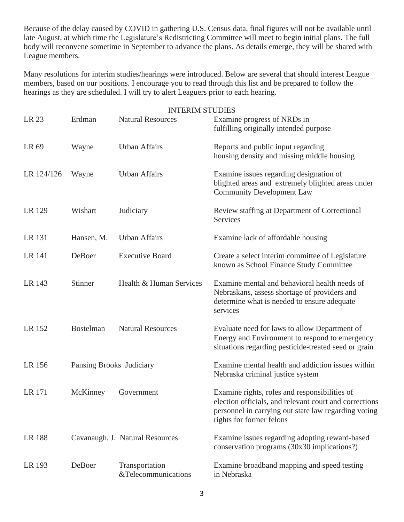Because of the delay caused by COVID in gathering U.S. Census data, final figures will not be available until late August, at which time the Legislature's Redistricting Committee will meet to begin initial plans. The full body will reconvene sometime in September to advance the plans. As details emerge, they will be shared with League members.

Many resolutions for interim studies/hearings were introduced. Below are several that should interest League members, based on our positions. I encourage you to read through this list and be prepared to follow the hearings as they are scheduled. I will try to alert Leaguers prior to each hearing.

|               |                          | <b>INTERIM STUDIES</b>                |                                                                                                                                                                                             |
|---------------|--------------------------|---------------------------------------|---------------------------------------------------------------------------------------------------------------------------------------------------------------------------------------------|
| LR 23         | Erdman                   | <b>Natural Resources</b>              | Examine progress of NRDs in<br>fulfilling originally intended purpose                                                                                                                       |
| LR 69         | Wayne                    | <b>Urban Affairs</b>                  | Reports and public input regarding<br>housing density and missing middle housing                                                                                                            |
| LR 124/126    | Wayne                    | <b>Urban Affairs</b>                  | Examine issues regarding designation of<br>blighted areas and extremely blighted areas under<br><b>Community Development Law</b>                                                            |
| LR 129        | Wishart                  | Judiciary                             | Review staffing at Department of Correctional<br>Services                                                                                                                                   |
| LR 131        | Hansen, M.               | <b>Urban Affairs</b>                  | Examine lack of affordable housing                                                                                                                                                          |
| LR 141        | DeBoer                   | <b>Executive Board</b>                | Create a select interim committee of Legislature<br>known as School Finance Study Committee                                                                                                 |
| LR 143        | Stinner                  | Health & Human Services               | Examine mental and behavioral health needs of<br>Nebraskans, assess shortage of providers and<br>determine what is needed to ensure adequate<br>services                                    |
| LR 152        | <b>Bostelman</b>         | <b>Natural Resources</b>              | Evaluate need for laws to allow Department of<br>Energy and Environment to respond to emergency<br>situations regarding pesticide-treated seed or grain                                     |
| LR 156        | Pansing Brooks Judiciary |                                       | Examine mental health and addiction issues within<br>Nebraska criminal justice system                                                                                                       |
| LR 171        | McKinney                 | Government                            | Examine rights, roles and responsibilities of<br>election officials, and relevant court and corrections<br>personnel in carrying out state law regarding voting<br>rights for former felons |
| <b>LR 188</b> |                          | Cavanaugh, J. Natural Resources       | Examine issues regarding adopting reward-based<br>conservation programs (30x30 implications?)                                                                                               |
| LR 193        | DeBoer                   | Transportation<br>&Telecommunications | Examine broadband mapping and speed testing<br>in Nebraska                                                                                                                                  |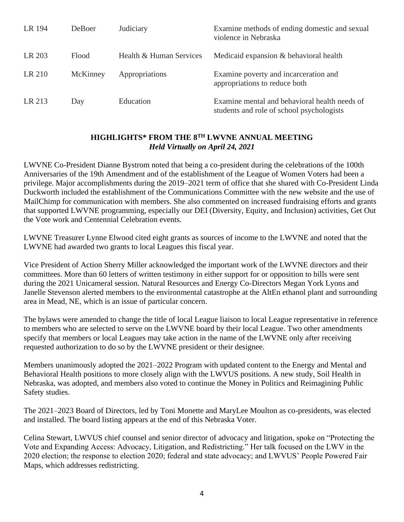| LR 194 | DeBoer   | Judiciary               | Examine methods of ending domestic and sexual<br>violence in Nebraska                      |
|--------|----------|-------------------------|--------------------------------------------------------------------------------------------|
| LR 203 | Flood    | Health & Human Services | Medicaid expansion & behavioral health                                                     |
| LR 210 | McKinney | Appropriations          | Examine poverty and incarceration and<br>appropriations to reduce both                     |
| LR 213 | Day      | Education               | Examine mental and behavioral health needs of<br>students and role of school psychologists |

## **HIGHLIGHTS\* FROM THE 8TH LWVNE ANNUAL MEETING** *Held Virtually on April 24, 2021*

LWVNE Co-President Dianne Bystrom noted that being a co-president during the celebrations of the 100th Anniversaries of the 19th Amendment and of the establishment of the League of Women Voters had been a privilege. Major accomplishments during the 2019–2021 term of office that she shared with Co-President Linda Duckworth included the establishment of the Communications Committee with the new website and the use of MailChimp for communication with members. She also commented on increased fundraising efforts and grants that supported LWVNE programming, especially our DEI (Diversity, Equity, and Inclusion) activities, Get Out the Vote work and Centennial Celebration events.

LWVNE Treasurer Lynne Elwood cited eight grants as sources of income to the LWVNE and noted that the LWVNE had awarded two grants to local Leagues this fiscal year.

Vice President of Action Sherry Miller acknowledged the important work of the LWVNE directors and their committees. More than 60 letters of written testimony in either support for or opposition to bills were sent during the 2021 Unicameral session. Natural Resources and Energy Co-Directors Megan York Lyons and Janelle Stevenson alerted members to the environmental catastrophe at the AltEn ethanol plant and surrounding area in Mead, NE, which is an issue of particular concern.

The bylaws were amended to change the title of local League liaison to local League representative in reference to members who are selected to serve on the LWVNE board by their local League. Two other amendments specify that members or local Leagues may take action in the name of the LWVNE only after receiving requested authorization to do so by the LWVNE president or their designee.

Members unanimously adopted the 2021–2022 Program with updated content to the Energy and Mental and Behavioral Health positions to more closely align with the LWVUS positions. A new study, Soil Health in Nebraska, was adopted, and members also voted to continue the Money in Politics and Reimagining Public Safety studies.

The 2021–2023 Board of Directors, led by Toni Monette and MaryLee Moulton as co-presidents, was elected and installed. The board listing appears at the end of this Nebraska Voter.

Celina Stewart, LWVUS chief counsel and senior director of advocacy and litigation, spoke on "Protecting the Vote and Expanding Access: Advocacy, Litigation, and Redistricting." Her talk focused on the LWV in the 2020 election; the response to election 2020; federal and state advocacy; and LWVUS' People Powered Fair Maps, which addresses redistricting.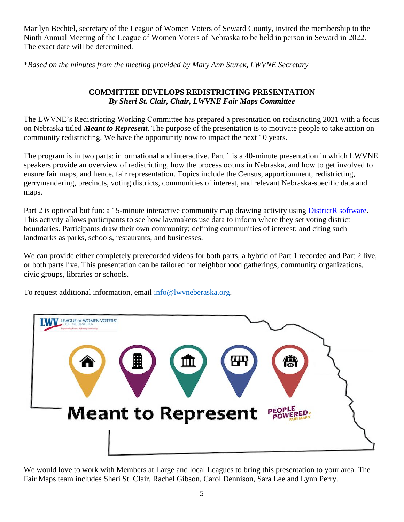Marilyn Bechtel, secretary of the League of Women Voters of Seward County, invited the membership to the Ninth Annual Meeting of the League of Women Voters of Nebraska to be held in person in Seward in 2022. The exact date will be determined.

\**Based on the minutes from the meeting provided by Mary Ann Sturek, LWVNE Secretary*

# **COMMITTEE DEVELOPS REDISTRICTING PRESENTATION** *By Sheri St. Clair, Chair, LWVNE Fair Maps Committee*

The LWVNE's Redistricting Working Committee has prepared a presentation on redistricting 2021 with a focus on Nebraska titled *Meant to Represent*. The purpose of the presentation is to motivate people to take action on community redistricting. We have the opportunity now to impact the next 10 years.

The program is in two parts: informational and interactive. Part 1 is a 40-minute presentation in which LWVNE speakers provide an overview of redistricting, how the process occurs in Nebraska, and how to get involved to ensure fair maps, and hence, fair representation. Topics include the Census, apportionment, redistricting, gerrymandering, precincts, voting districts, communities of interest, and relevant Nebraska-specific data and maps.

Part 2 is optional but fun: a 15-minute interactive community map drawing activity using [DistrictR software.](https://districtr.org/) This activity allows participants to see how lawmakers use data to inform where they set voting district boundaries. Participants draw their own community; defining communities of interest; and citing such landmarks as parks, schools, restaurants, and businesses.

We can provide either completely prerecorded videos for both parts, a hybrid of Part 1 recorded and Part 2 live, or both parts live. This presentation can be tailored for neighborhood gatherings, community organizations, civic groups, libraries or schools.

To request additional information, email [info@lwvneberaska.org.](mailto:info@lwvneberaska.org)



We would love to work with Members at Large and local Leagues to bring this presentation to your area. The Fair Maps team includes Sheri St. Clair, Rachel Gibson, Carol Dennison, Sara Lee and Lynn Perry.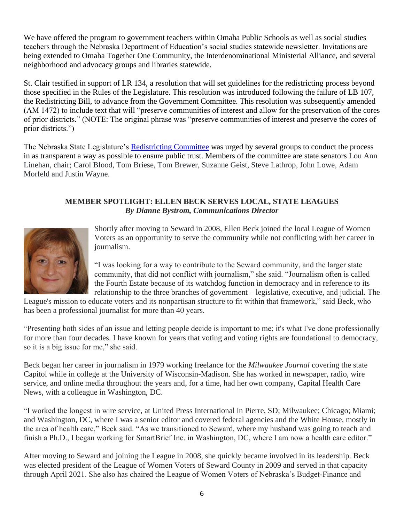We have offered the program to government teachers within Omaha Public Schools as well as social studies teachers through the Nebraska Department of Education's social studies statewide newsletter. Invitations are being extended to Omaha Together One Community, the Interdenominational Ministerial Alliance, and several neighborhood and advocacy groups and libraries statewide.

St. Clair testified in support of LR 134, a resolution that will set guidelines for the redistricting process beyond those specified in the Rules of the Legislature. This resolution was introduced following the failure of LB 107, the Redistricting Bill, to advance from the Government Committee. This resolution was subsequently amended (AM 1472) to include text that will "preserve communities of interest and allow for the preservation of the cores of prior districts." (NOTE: The original phrase was "preserve communities of interest and preserve the cores of prior districts.")

The Nebraska State Legislature's [Redistricting Committee](http://news.legislature.ne.gov/red/) was urged by several groups to conduct the process in as transparent a way as possible to ensure public trust. Members of the committee are state senators Lou Ann Linehan, chair; Carol Blood, Tom Briese, Tom Brewer, Suzanne Geist, Steve Lathrop, John Lowe, Adam Morfeld and Justin Wayne.

## **MEMBER SPOTLIGHT: ELLEN BECK SERVES LOCAL, STATE LEAGUES** *By Dianne Bystrom, Communications Director*



Shortly after moving to Seward in 2008, Ellen Beck joined the local League of Women Voters as an opportunity to serve the community while not conflicting with her career in journalism.

"I was looking for a way to contribute to the Seward community, and the larger state community, that did not conflict with journalism," she said. "Journalism often is called the Fourth Estate because of its watchdog function in democracy and in reference to its relationship to the three branches of government – legislative, executive, and judicial. The

League's mission to educate voters and its nonpartisan structure to fit within that framework," said Beck, who has been a professional journalist for more than 40 years.

"Presenting both sides of an issue and letting people decide is important to me; it's what I've done professionally for more than four decades. I have known for years that voting and voting rights are foundational to democracy, so it is a big issue for me," she said.

Beck began her career in journalism in 1979 working freelance for the *Milwaukee Journal* covering the state Capitol while in college at the University of Wisconsin-Madison. She has worked in newspaper, radio, wire service, and online media throughout the years and, for a time, had her own company, Capital Health Care News, with a colleague in Washington, DC.

"I worked the longest in wire service, at United Press International in Pierre, SD; Milwaukee; Chicago; Miami; and Washington, DC, where I was a senior editor and covered federal agencies and the White House, mostly in the area of health care," Beck said. "As we transitioned to Seward, where my husband was going to teach and finish a Ph.D., I began working for SmartBrief Inc. in Washington, DC, where I am now a health care editor."

After moving to Seward and joining the League in 2008, she quickly became involved in its leadership. Beck was elected president of the League of Women Voters of Seward County in 2009 and served in that capacity through April 2021. She also has chaired the League of Women Voters of Nebraska's Budget-Finance and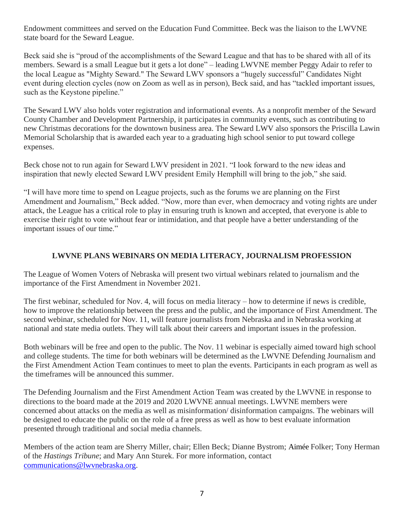Endowment committees and served on the Education Fund Committee. Beck was the liaison to the LWVNE state board for the Seward League.

Beck said she is "proud of the accomplishments of the Seward League and that has to be shared with all of its members. Seward is a small League but it gets a lot done" – leading LWVNE member Peggy Adair to refer to the local League as "Mighty Seward." The Seward LWV sponsors a "hugely successful" Candidates Night event during election cycles (now on Zoom as well as in person), Beck said, and has "tackled important issues, such as the Keystone pipeline."

The Seward LWV also holds voter registration and informational events. As a nonprofit member of the Seward County Chamber and Development Partnership, it participates in community events, such as contributing to new Christmas decorations for the downtown business area. The Seward LWV also sponsors the Priscilla Lawin Memorial Scholarship that is awarded each year to a graduating high school senior to put toward college expenses.

Beck chose not to run again for Seward LWV president in 2021. "I look forward to the new ideas and inspiration that newly elected Seward LWV president Emily Hemphill will bring to the job," she said.

"I will have more time to spend on League projects, such as the forums we are planning on the First Amendment and Journalism," Beck added. "Now, more than ever, when democracy and voting rights are under attack, the League has a critical role to play in ensuring truth is known and accepted, that everyone is able to exercise their right to vote without fear or intimidation, and that people have a better understanding of the important issues of our time."

# **LWVNE PLANS WEBINARS ON MEDIA LITERACY, JOURNALISM PROFESSION**

The League of Women Voters of Nebraska will present two virtual webinars related to journalism and the importance of the First Amendment in November 2021.

The first webinar, scheduled for Nov. 4, will focus on media literacy – how to determine if news is credible, how to improve the relationship between the press and the public, and the importance of First Amendment. The second webinar, scheduled for Nov. 11, will feature journalists from Nebraska and in Nebraska working at national and state media outlets. They will talk about their careers and important issues in the profession.

Both webinars will be free and open to the public. The Nov. 11 webinar is especially aimed toward high school and college students. The time for both webinars will be determined as the LWVNE Defending Journalism and the First Amendment Action Team continues to meet to plan the events. Participants in each program as well as the timeframes will be announced this summer.

The Defending Journalism and the First Amendment Action Team was created by the LWVNE in response to directions to the board made at the 2019 and 2020 LWVNE annual meetings. LWVNE members were concerned about attacks on the media as well as misinformation/ disinformation campaigns. The webinars will be designed to educate the public on the role of a free press as well as how to best evaluate information presented through traditional and social media channels.

Members of the action team are Sherry Miller, chair; Ellen Beck; Dianne Bystrom; Aimée Folker; Tony Herman of the *Hastings Tribune*; and Mary Ann Sturek. For more information, contact [communications@lwvnebraska.org.](mailto:communications@lwvnebraska.org)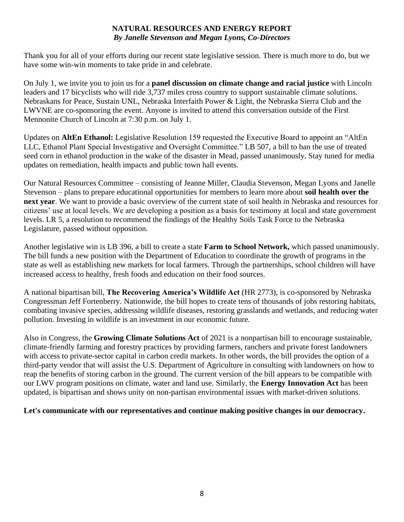## **NATURAL RESOURCES AND ENERGY REPORT** *By Janelle Stevenson and Megan Lyons, Co-Directors*

Thank you for all of your efforts during our recent state legislative session. There is much more to do, but we have some win-win moments to take pride in and celebrate.

On July 1, we invite you to join us for a **panel discussion on climate change and racial justice** with Lincoln leaders and 17 bicyclists who will ride 3,737 miles cross country to support sustainable climate solutions. Nebraskans for Peace, Sustain UNL, Nebraska Interfaith Power & Light, the Nebraska Sierra Club and the LWVNE are co-sponsoring the event. Anyone is invited to attend this conversation outside of the First Mennonite Church of Lincoln at 7:30 p.m. on July 1.

Updates on **AltEn Ethanol:** Legislative Resolution 159 requested the Executive Board to appoint an "AltEn LLC, Ethanol Plant Special Investigative and Oversight Committee." [LB 507,](https://click.everyaction.com/k/30261948/288993005/1330448448?DocumentID=44424&nvep=ew0KICAiVGVuYW50VXJpIjogIm5ncHZhbjovL3Zhbi9BVi9BVkVBLzEvNTc5MjUiLA0KICAiRGlzdHJpYnV0aW9uVW5pcXVlSWQiOiAiNDg4NmJmOGEtNTFjNS1lYjExLWE3YWQtNTAxYWM1N2I4ZmE3IiwNCiAgIkVtYWlsQWRkcmVzcyI6ICJqc3RldmVuc29uQGx3dm5lYnJhc2thLm9yZyINCn0%3D&hmac=BbAPVYH17ojAEkEHFZzn8_8F5N4bePx97YrHaq1PISI=&emci=72249f74-3fc5-eb11-a7ad-501ac57b8fa7&emdi=4886bf8a-51c5-eb11-a7ad-501ac57b8fa7&ceid=4429346) a bill to ban the use of treated seed corn in ethanol production in the wake of the disaster in Mead, passed unanimously. Stay tuned for media updates on remediation, health impacts and public town hall events.

Our Natural Resources Committee – consisting of Jeanne Miller, Claudia Stevenson, Megan Lyons and Janelle Stevenson – plans to prepare educational opportunities for members to learn more about **soil health over the next year**. We want to provide a basic overview of the current state of soil health in Nebraska and resources for citizens' use at local levels. We are developing a position as a basis for testimony at local and state government levels. LR 5, a resolution to recommend the findings of the Healthy Soils Task Force to the Nebraska Legislature, passed without opposition.

Another legislative win is [LB 396,](https://click.everyaction.com/k/30261945/288993002/1330448448?DocumentID=44091&nvep=ew0KICAiVGVuYW50VXJpIjogIm5ncHZhbjovL3Zhbi9BVi9BVkVBLzEvNTc5MjUiLA0KICAiRGlzdHJpYnV0aW9uVW5pcXVlSWQiOiAiNDg4NmJmOGEtNTFjNS1lYjExLWE3YWQtNTAxYWM1N2I4ZmE3IiwNCiAgIkVtYWlsQWRkcmVzcyI6ICJqc3RldmVuc29uQGx3dm5lYnJhc2thLm9yZyINCn0%3D&hmac=BbAPVYH17ojAEkEHFZzn8_8F5N4bePx97YrHaq1PISI=&emci=72249f74-3fc5-eb11-a7ad-501ac57b8fa7&emdi=4886bf8a-51c5-eb11-a7ad-501ac57b8fa7&ceid=4429346) a bill to create a state **Farm to School Network,** which passed unanimously. The bill funds a new position with the Department of Education to coordinate the growth of programs in the state as well as establishing new markets for local farmers. Through the partnerships, school children will have increased access to healthy, fresh foods and education on their food sources.

A national bipartisan bill, **The Recovering America's Wildlife Act** (HR 2773), is co-sponsored by Nebraska Congressman Jeff Fortenberry. Nationwide, the bill hopes to create tens of thousands of jobs restoring habitats, combating invasive species, addressing wildlife diseases, restoring grasslands and wetlands, and reducing water pollution. Investing in wildlife is an investment in our economic future.

Also in Congress, the **Growing Climate Solutions Act** of 2021 is a nonpartisan bill to encourage sustainable, climate-friendly farming and forestry practices by providing farmers, ranchers and private forest landowners with access to private-sector capital in carbon credit markets. In other words, the bill provides the option of a third-party vendor that will assist the U.S. Department of Agriculture in consulting with landowners on how to reap the benefits of storing carbon in the ground. The current version of the bill appears to be compatible with our LWV program positions on climate, water and land use. Similarly, the **Energy Innovation Act** has been updated, is bipartisan and shows unity on non-partisan environmental issues with market-driven solutions.

**Let's communicate with our representatives and continue making positive changes in our democracy.**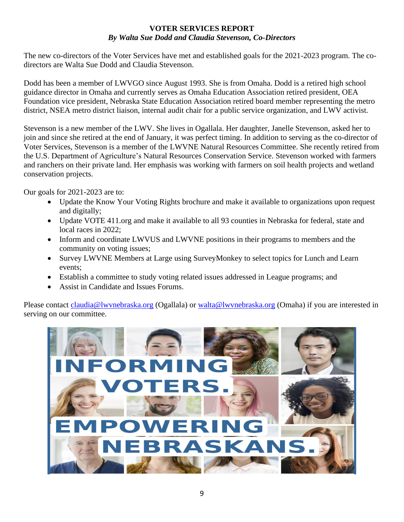#### **VOTER SERVICES REPORT** *By Walta Sue Dodd and Claudia Stevenson, Co-Directors*

The new co-directors of the Voter Services have met and established goals for the 2021-2023 program. The codirectors are Walta Sue Dodd and Claudia Stevenson.

Dodd has been a member of LWVGO since August 1993. She is from Omaha. Dodd is a retired high school guidance director in Omaha and currently serves as Omaha Education Association retired president, OEA Foundation vice president, Nebraska State Education Association retired board member representing the metro district, NSEA metro district liaison, internal audit chair for a public service organization, and LWV activist.

Stevenson is a new member of the LWV. She lives in Ogallala. Her daughter, Janelle Stevenson, asked her to join and since she retired at the end of January, it was perfect timing. In addition to serving as the co-director of Voter Services, Stevenson is a member of the LWVNE Natural Resources Committee. She recently retired from the U.S. Department of Agriculture's Natural Resources Conservation Service. Stevenson worked with farmers and ranchers on their private land. Her emphasis was working with farmers on soil health projects and wetland conservation projects.

Our goals for 2021-2023 are to:

- Update the Know Your Voting Rights brochure and make it available to organizations upon request and digitally;
- Update VOTE 411.org and make it available to all 93 counties in Nebraska for federal, state and local races in 2022;
- Inform and coordinate LWVUS and LWVNE positions in their programs to members and the community on voting issues;
- Survey LWVNE Members at Large using SurveyMonkey to select topics for Lunch and Learn events;
- Establish a committee to study voting related issues addressed in League programs; and
- Assist in Candidate and Issues Forums.

Please contact [claudia@lwvnebraska.org](mailto:claudia@lwvnebraska.org) (Ogallala) or [walta@lwvnebraska.org](mailto:walta@lwvnebraska.org) (Omaha) if you are interested in serving on our committee.

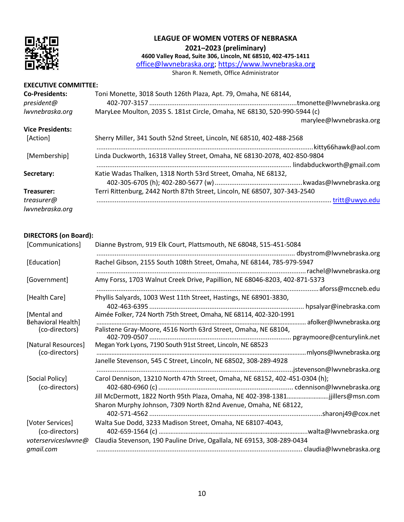

### **LEAGUE OF WOMEN VOTERS OF NEBRASKA 2021–2023 (preliminary)**

**4600 Valley Road, Suite 306, Lincoln, NE 68510, 402-475-1411**

[office@lwvnebraska.org;](mailto:office@lwv-ne.org) [https://www.lwvnebraska.org](https://www.lwv-ne.org/)

Sharon R. Nemeth, Office Administrator

#### **EXECUTIVE COMMITTEE:**

| <b>Co-Presidents:</b><br>president@ | Toni Monette, 3018 South 126th Plaza, Apt. 79, Omaha, NE 68144,<br>tmonette@lwvnebraska.org |
|-------------------------------------|---------------------------------------------------------------------------------------------|
| lwvnebraska.org                     | MaryLee Moulton, 2035 S. 181st Circle, Omaha, NE 68130, 520-990-5944 (c)                    |
|                                     | marylee@lwynebraska.org                                                                     |
| <b>Vice Presidents:</b>             |                                                                                             |
| [Action]                            | Sherry Miller, 341 South 52nd Street, Lincoln, NE 68510, 402-488-2568                       |
|                                     | .kitty66hawk@aol.com                                                                        |
| [Membership]                        | Linda Duckworth, 16318 Valley Street, Omaha, NE 68130-2078, 402-850-9804                    |
|                                     |                                                                                             |
| Secretary:                          | Katie Wadas Thalken, 1318 North 53rd Street, Omaha, NE 68132,                               |
|                                     |                                                                                             |
| Treasurer:                          | Terri Rittenburg, 2442 North 87th Street, Lincoln, NE 68507, 307-343-2540                   |
| treasurer@                          | . tritt@uwyo.edu                                                                            |
| lwvnebraska.org                     |                                                                                             |

#### **DIRECTORS (on Board):**

| Dianne Bystrom, 919 Elk Court, Plattsmouth, NE 68048, 515-451-5084            |
|-------------------------------------------------------------------------------|
|                                                                               |
| Rachel Gibson, 2155 South 108th Street, Omaha, NE 68144, 785-979-5947         |
|                                                                               |
| Amy Forss, 1703 Walnut Creek Drive, Papillion, NE 68046-8203, 402-871-5373    |
|                                                                               |
| Phyllis Salyards, 1003 West 11th Street, Hastings, NE 68901-3830,             |
| . hpsalyar@inebraska.com                                                      |
| Aimée Folker, 724 North 75th Street, Omaha, NE 68114, 402-320-1991            |
| Palistene Gray-Moore, 4516 North 63rd Street, Omaha, NE 68104,                |
|                                                                               |
| Megan York Lyons, 7190 South 91st Street, Lincoln, NE 68523                   |
|                                                                               |
| Janelle Stevenson, 545 C Street, Lincoln, NE 68502, 308-289-4928              |
|                                                                               |
| Carol Dennison, 13210 North 47th Street, Omaha, NE 68152, 402-451-0304 (h);   |
|                                                                               |
| Jill McDermott, 1822 North 95th Plaza, Omaha, NE 402-398-1381jjillers@msn.com |
| Sharon Murphy Johnson, 7309 North 82nd Avenue, Omaha, NE 68122,               |
|                                                                               |
| Walta Sue Dodd, 3233 Madison Street, Omaha, NE 68107-4043,                    |
|                                                                               |
| Claudia Stevenson, 190 Pauline Drive, Ogallala, NE 69153, 308-289-0434        |
|                                                                               |
|                                                                               |